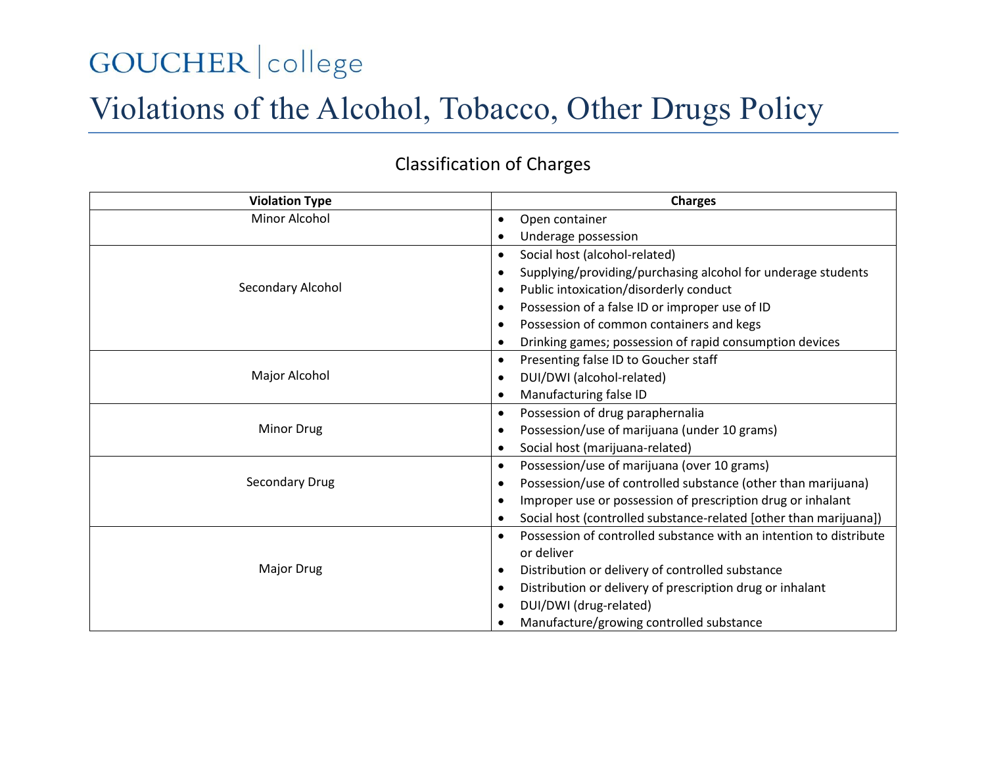# GOUCHER college

## Violations of the Alcohol, Tobacco, Other Drugs Policy

#### **Violation Type Charges** Minor Alcohol **Container Container Container Open container**  Underage possession Secondary Alcohol Social host (alcohol-related) Supplying/providing/purchasing alcohol for underage students Public intoxication/disorderly conduct Possession of a false ID or improper use of ID Possession of common containers and kegs Drinking games; possession of rapid consumption devices Major Alcohol • Presenting false ID to Goucher staff DUI/DWI (alcohol-related) Manufacturing false ID Minor Drug Possession of drug paraphernalia Possession/use of marijuana (under 10 grams) Social host (marijuana-related) Secondary Drug Possession/use of marijuana (over 10 grams) Possession/use of controlled substance (other than marijuana) Improper use or possession of prescription drug or inhalant Social host (controlled substance-related [other than marijuana]) Major Drug Possession of controlled substance with an intention to distribute or deliver Distribution or delivery of controlled substance Distribution or delivery of prescription drug or inhalant DUI/DWI (drug-related) Manufacture/growing controlled substance

#### Classification of Charges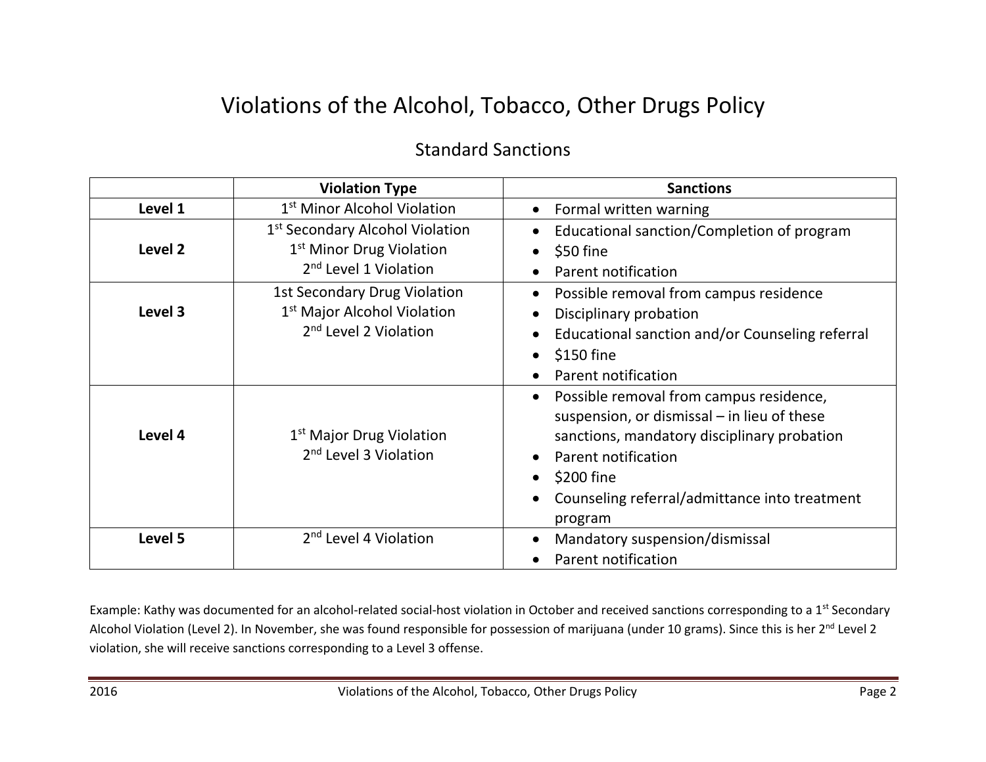### Violations of the Alcohol, Tobacco, Other Drugs Policy

#### Standard Sanctions

|                    | <b>Violation Type</b>                                                                                                    | <b>Sanctions</b>                                                                                                                                                                                                                                                              |
|--------------------|--------------------------------------------------------------------------------------------------------------------------|-------------------------------------------------------------------------------------------------------------------------------------------------------------------------------------------------------------------------------------------------------------------------------|
| Level 1            | 1 <sup>st</sup> Minor Alcohol Violation                                                                                  | Formal written warning<br>$\bullet$                                                                                                                                                                                                                                           |
| Level <sub>2</sub> | 1 <sup>st</sup> Secondary Alcohol Violation<br>1 <sup>st</sup> Minor Drug Violation<br>2 <sup>nd</sup> Level 1 Violation | Educational sanction/Completion of program<br>$\bullet$<br>\$50 fine<br>$\bullet$<br>Parent notification<br>$\bullet$                                                                                                                                                         |
| Level 3            | 1st Secondary Drug Violation<br>1 <sup>st</sup> Major Alcohol Violation<br>2 <sup>nd</sup> Level 2 Violation             | Possible removal from campus residence<br>$\bullet$<br>Disciplinary probation<br>$\bullet$<br>Educational sanction and/or Counseling referral<br>$\bullet$<br>\$150 fine<br>$\bullet$<br>Parent notification                                                                  |
| Level 4            | 1 <sup>st</sup> Major Drug Violation<br>2 <sup>nd</sup> Level 3 Violation                                                | Possible removal from campus residence,<br>$\bullet$<br>suspension, or dismissal - in lieu of these<br>sanctions, mandatory disciplinary probation<br>Parent notification<br>\$200 fine<br>$\bullet$<br>Counseling referral/admittance into treatment<br>$\bullet$<br>program |
| Level 5            | 2 <sup>nd</sup> Level 4 Violation                                                                                        | Mandatory suspension/dismissal<br>$\bullet$<br>Parent notification                                                                                                                                                                                                            |

Example: Kathy was documented for an alcohol-related social-host violation in October and received sanctions corresponding to a 1<sup>st</sup> Secondary Alcohol Violation (Level 2). In November, she was found responsible for possession of marijuana (under 10 grams). Since this is her 2<sup>nd</sup> Level 2 violation, she will receive sanctions corresponding to a Level 3 offense.